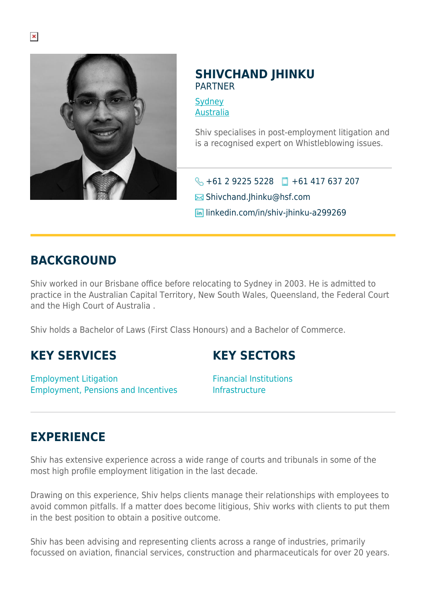

### **SHIVCHAND JHINKU** PARTNER

**[Sydney](https://www.herbertsmithfreehills.com/lang-ru/where-we-work/sydney)** [Australia](https://www.herbertsmithfreehills.com/lang-ru/where-we-work/australia)

Shiv specialises in post-employment litigation and is a recognised expert on Whistleblowing issues.

 $\big\{\}$  +61 2 9225 5228 +61 417 637 207

 $\boxtimes$  Shivchand.Ihinku@hsf.com

**in** linkedin.com/in/shiv-jhinku-a299269

### **BACKGROUND**

Shiv worked in our Brisbane office before relocating to Sydney in 2003. He is admitted to practice in the Australian Capital Territory, New South Wales, Queensland, the Federal Court and the High Court of Australia .

Shiv holds a Bachelor of Laws (First Class Honours) and a Bachelor of Commerce.

# **KEY SERVICES**

Employment Litigation Employment, Pensions and Incentives

# **KEY SECTORS**

Financial Institutions Infrastructure

# **EXPERIENCE**

Shiv has extensive experience across a wide range of courts and tribunals in some of the most high profile employment litigation in the last decade.

Drawing on this experience, Shiv helps clients manage their relationships with employees to avoid common pitfalls. If a matter does become litigious, Shiv works with clients to put them in the best position to obtain a positive outcome.

Shiv has been advising and representing clients across a range of industries, primarily focussed on aviation, financial services, construction and pharmaceuticals for over 20 years.